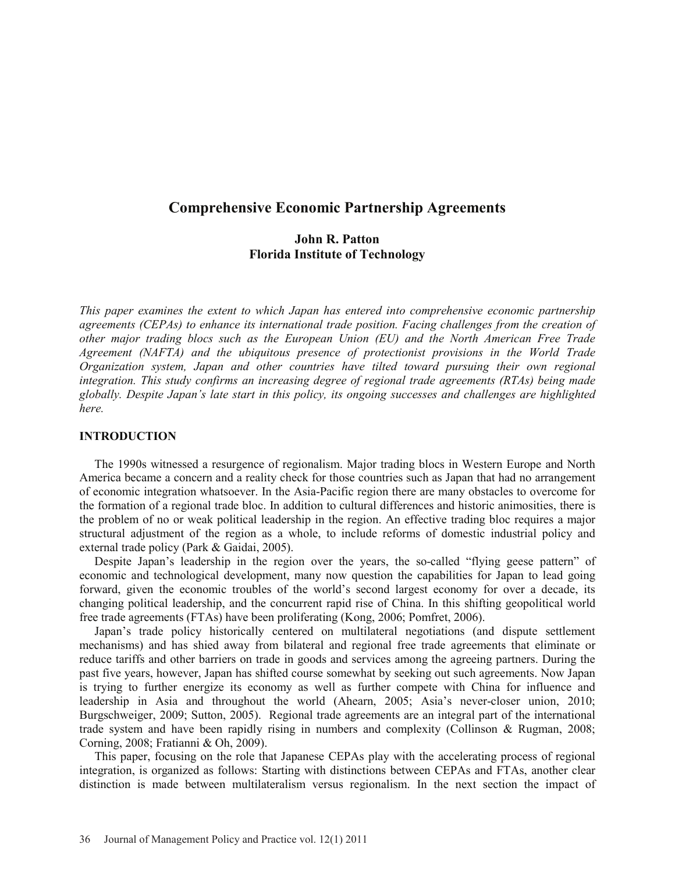# **Comprehensive Economic Partnership Agreements**

# **John R. Patton Florida Institute of Technology**

*This paper examines the extent to which Japan has entered into comprehensive economic partnership agreements (CEPAs) to enhance its international trade position. Facing challenges from the creation of other major trading blocs such as the European Union (EU) and the North American Free Trade Agreement (NAFTA) and the ubiquitous presence of protectionist provisions in the World Trade Organization system, Japan and other countries have tilted toward pursuing their own regional integration. This study confirms an increasing degree of regional trade agreements (RTAs) being made globally. Despite Japan's late start in this policy, its ongoing successes and challenges are highlighted here.*

### **INTRODUCTION**

The 1990s witnessed a resurgence of regionalism. Major trading blocs in Western Europe and North America became a concern and a reality check for those countries such as Japan that had no arrangement of economic integration whatsoever. In the Asia-Pacific region there are many obstacles to overcome for the formation of a regional trade bloc. In addition to cultural differences and historic animosities, there is the problem of no or weak political leadership in the region. An effective trading bloc requires a major structural adjustment of the region as a whole, to include reforms of domestic industrial policy and external trade policy (Park & Gaidai, 2005).

Despite Japan's leadership in the region over the years, the so-called "flying geese pattern" of economic and technological development, many now question the capabilities for Japan to lead going forward, given the economic troubles of the world's second largest economy for over a decade, its changing political leadership, and the concurrent rapid rise of China. In this shifting geopolitical world free trade agreements (FTAs) have been proliferating (Kong, 2006; Pomfret, 2006).

Japan's trade policy historically centered on multilateral negotiations (and dispute settlement mechanisms) and has shied away from bilateral and regional free trade agreements that eliminate or reduce tariffs and other barriers on trade in goods and services among the agreeing partners. During the past five years, however, Japan has shifted course somewhat by seeking out such agreements. Now Japan is trying to further energize its economy as well as further compete with China for influence and leadership in Asia and throughout the world (Ahearn, 2005; Asia's never-closer union, 2010; Burgschweiger, 2009; Sutton, 2005). Regional trade agreements are an integral part of the international trade system and have been rapidly rising in numbers and complexity (Collinson & Rugman, 2008; Corning, 2008; Fratianni & Oh, 2009).

This paper, focusing on the role that Japanese CEPAs play with the accelerating process of regional integration, is organized as follows: Starting with distinctions between CEPAs and FTAs, another clear distinction is made between multilateralism versus regionalism. In the next section the impact of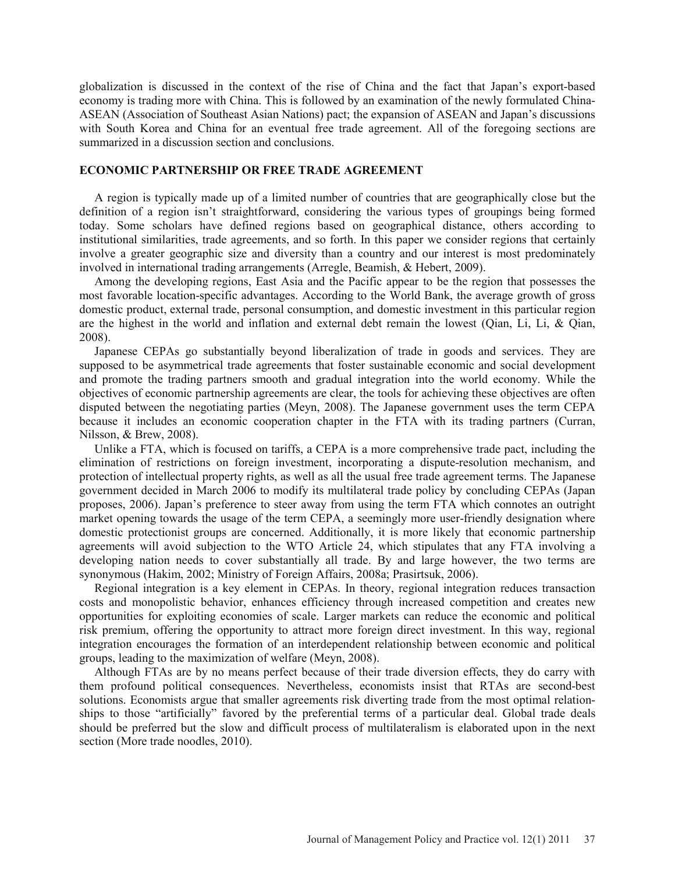globalization is discussed in the context of the rise of China and the fact that Japan's export-based economy is trading more with China. This is followed by an examination of the newly formulated China-ASEAN (Association of Southeast Asian Nations) pact; the expansion of ASEAN and Japan's discussions with South Korea and China for an eventual free trade agreement. All of the foregoing sections are summarized in a discussion section and conclusions.

### **ECONOMIC PARTNERSHIP OR FREE TRADE AGREEMENT**

A region is typically made up of a limited number of countries that are geographically close but the definition of a region isn't straightforward, considering the various types of groupings being formed today. Some scholars have defined regions based on geographical distance, others according to institutional similarities, trade agreements, and so forth. In this paper we consider regions that certainly involve a greater geographic size and diversity than a country and our interest is most predominately involved in international trading arrangements (Arregle, Beamish, & Hebert, 2009).

Among the developing regions, East Asia and the Pacific appear to be the region that possesses the most favorable location-specific advantages. According to the World Bank, the average growth of gross domestic product, external trade, personal consumption, and domestic investment in this particular region are the highest in the world and inflation and external debt remain the lowest (Qian, Li, Li, & Qian, 2008).

Japanese CEPAs go substantially beyond liberalization of trade in goods and services. They are supposed to be asymmetrical trade agreements that foster sustainable economic and social development and promote the trading partners smooth and gradual integration into the world economy. While the objectives of economic partnership agreements are clear, the tools for achieving these objectives are often disputed between the negotiating parties (Meyn, 2008). The Japanese government uses the term CEPA because it includes an economic cooperation chapter in the FTA with its trading partners (Curran, Nilsson, & Brew, 2008).

Unlike a FTA, which is focused on tariffs, a CEPA is a more comprehensive trade pact, including the elimination of restrictions on foreign investment, incorporating a dispute-resolution mechanism, and protection of intellectual property rights, as well as all the usual free trade agreement terms. The Japanese government decided in March 2006 to modify its multilateral trade policy by concluding CEPAs (Japan proposes, 2006). Japan's preference to steer away from using the term FTA which connotes an outright market opening towards the usage of the term CEPA, a seemingly more user-friendly designation where domestic protectionist groups are concerned. Additionally, it is more likely that economic partnership agreements will avoid subjection to the WTO Article 24, which stipulates that any FTA involving a developing nation needs to cover substantially all trade. By and large however, the two terms are synonymous (Hakim, 2002; Ministry of Foreign Affairs, 2008a; Prasirtsuk, 2006).

Regional integration is a key element in CEPAs. In theory, regional integration reduces transaction costs and monopolistic behavior, enhances efficiency through increased competition and creates new opportunities for exploiting economies of scale. Larger markets can reduce the economic and political risk premium, offering the opportunity to attract more foreign direct investment. In this way, regional integration encourages the formation of an interdependent relationship between economic and political groups, leading to the maximization of welfare (Meyn, 2008).

Although FTAs are by no means perfect because of their trade diversion effects, they do carry with them profound political consequences. Nevertheless, economists insist that RTAs are second-best solutions. Economists argue that smaller agreements risk diverting trade from the most optimal relationships to those "artificially" favored by the preferential terms of a particular deal. Global trade deals should be preferred but the slow and difficult process of multilateralism is elaborated upon in the next section (More trade noodles, 2010).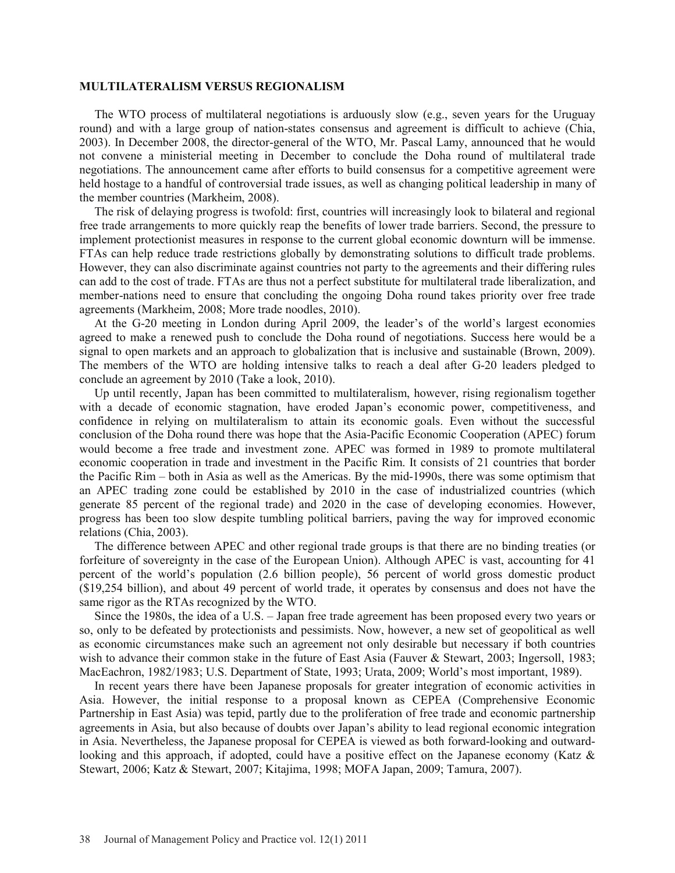#### **MULTILATERALISM VERSUS REGIONALISM**

The WTO process of multilateral negotiations is arduously slow (e.g., seven years for the Uruguay round) and with a large group of nation-states consensus and agreement is difficult to achieve (Chia, 2003). In December 2008, the director-general of the WTO, Mr. Pascal Lamy, announced that he would not convene a ministerial meeting in December to conclude the Doha round of multilateral trade negotiations. The announcement came after efforts to build consensus for a competitive agreement were held hostage to a handful of controversial trade issues, as well as changing political leadership in many of the member countries (Markheim, 2008).

The risk of delaying progress is twofold: first, countries will increasingly look to bilateral and regional free trade arrangements to more quickly reap the benefits of lower trade barriers. Second, the pressure to implement protectionist measures in response to the current global economic downturn will be immense. FTAs can help reduce trade restrictions globally by demonstrating solutions to difficult trade problems. However, they can also discriminate against countries not party to the agreements and their differing rules can add to the cost of trade. FTAs are thus not a perfect substitute for multilateral trade liberalization, and member-nations need to ensure that concluding the ongoing Doha round takes priority over free trade agreements (Markheim, 2008; More trade noodles, 2010).

At the G-20 meeting in London during April 2009, the leader's of the world's largest economies agreed to make a renewed push to conclude the Doha round of negotiations. Success here would be a signal to open markets and an approach to globalization that is inclusive and sustainable (Brown, 2009). The members of the WTO are holding intensive talks to reach a deal after G-20 leaders pledged to conclude an agreement by 2010 (Take a look, 2010).

Up until recently, Japan has been committed to multilateralism, however, rising regionalism together with a decade of economic stagnation, have eroded Japan's economic power, competitiveness, and confidence in relying on multilateralism to attain its economic goals. Even without the successful conclusion of the Doha round there was hope that the Asia-Pacific Economic Cooperation (APEC) forum would become a free trade and investment zone. APEC was formed in 1989 to promote multilateral economic cooperation in trade and investment in the Pacific Rim. It consists of 21 countries that border the Pacific Rim – both in Asia as well as the Americas. By the mid-1990s, there was some optimism that an APEC trading zone could be established by 2010 in the case of industrialized countries (which generate 85 percent of the regional trade) and 2020 in the case of developing economies. However, progress has been too slow despite tumbling political barriers, paving the way for improved economic relations (Chia, 2003).

The difference between APEC and other regional trade groups is that there are no binding treaties (or forfeiture of sovereignty in the case of the European Union). Although APEC is vast, accounting for 41 percent of the world's population (2.6 billion people), 56 percent of world gross domestic product (\$19,254 billion), and about 49 percent of world trade, it operates by consensus and does not have the same rigor as the RTAs recognized by the WTO.

Since the 1980s, the idea of a U.S. – Japan free trade agreement has been proposed every two years or so, only to be defeated by protectionists and pessimists. Now, however, a new set of geopolitical as well as economic circumstances make such an agreement not only desirable but necessary if both countries wish to advance their common stake in the future of East Asia (Fauver & Stewart, 2003; Ingersoll, 1983; MacEachron, 1982/1983; U.S. Department of State, 1993; Urata, 2009; World's most important, 1989).

In recent years there have been Japanese proposals for greater integration of economic activities in Asia. However, the initial response to a proposal known as CEPEA (Comprehensive Economic Partnership in East Asia) was tepid, partly due to the proliferation of free trade and economic partnership agreements in Asia, but also because of doubts over Japan's ability to lead regional economic integration in Asia. Nevertheless, the Japanese proposal for CEPEA is viewed as both forward-looking and outwardlooking and this approach, if adopted, could have a positive effect on the Japanese economy (Katz & Stewart, 2006; Katz & Stewart, 2007; Kitajima, 1998; MOFA Japan, 2009; Tamura, 2007).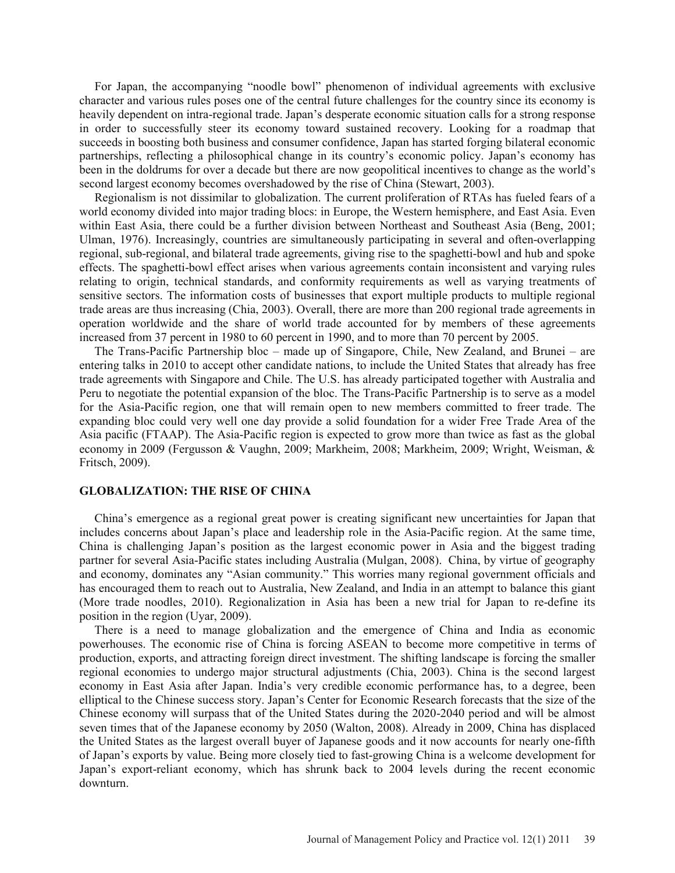For Japan, the accompanying "noodle bowl" phenomenon of individual agreements with exclusive character and various rules poses one of the central future challenges for the country since its economy is heavily dependent on intra-regional trade. Japan's desperate economic situation calls for a strong response in order to successfully steer its economy toward sustained recovery. Looking for a roadmap that succeeds in boosting both business and consumer confidence, Japan has started forging bilateral economic partnerships, reflecting a philosophical change in its country's economic policy. Japan's economy has been in the doldrums for over a decade but there are now geopolitical incentives to change as the world's second largest economy becomes overshadowed by the rise of China (Stewart, 2003).

Regionalism is not dissimilar to globalization. The current proliferation of RTAs has fueled fears of a world economy divided into major trading blocs: in Europe, the Western hemisphere, and East Asia. Even within East Asia, there could be a further division between Northeast and Southeast Asia (Beng, 2001; Ulman, 1976). Increasingly, countries are simultaneously participating in several and often-overlapping regional, sub-regional, and bilateral trade agreements, giving rise to the spaghetti-bowl and hub and spoke effects. The spaghetti-bowl effect arises when various agreements contain inconsistent and varying rules relating to origin, technical standards, and conformity requirements as well as varying treatments of sensitive sectors. The information costs of businesses that export multiple products to multiple regional trade areas are thus increasing (Chia, 2003). Overall, there are more than 200 regional trade agreements in operation worldwide and the share of world trade accounted for by members of these agreements increased from 37 percent in 1980 to 60 percent in 1990, and to more than 70 percent by 2005.

The Trans-Pacific Partnership bloc – made up of Singapore, Chile, New Zealand, and Brunei – are entering talks in 2010 to accept other candidate nations, to include the United States that already has free trade agreements with Singapore and Chile. The U.S. has already participated together with Australia and Peru to negotiate the potential expansion of the bloc. The Trans-Pacific Partnership is to serve as a model for the Asia-Pacific region, one that will remain open to new members committed to freer trade. The expanding bloc could very well one day provide a solid foundation for a wider Free Trade Area of the Asia pacific (FTAAP). The Asia-Pacific region is expected to grow more than twice as fast as the global economy in 2009 (Fergusson & Vaughn, 2009; Markheim, 2008; Markheim, 2009; Wright, Weisman, & Fritsch, 2009).

# **GLOBALIZATION: THE RISE OF CHINA**

China's emergence as a regional great power is creating significant new uncertainties for Japan that includes concerns about Japan's place and leadership role in the Asia-Pacific region. At the same time, China is challenging Japan's position as the largest economic power in Asia and the biggest trading partner for several Asia-Pacific states including Australia (Mulgan, 2008). China, by virtue of geography and economy, dominates any "Asian community." This worries many regional government officials and has encouraged them to reach out to Australia, New Zealand, and India in an attempt to balance this giant (More trade noodles, 2010). Regionalization in Asia has been a new trial for Japan to re-define its position in the region (Uyar, 2009).

There is a need to manage globalization and the emergence of China and India as economic powerhouses. The economic rise of China is forcing ASEAN to become more competitive in terms of production, exports, and attracting foreign direct investment. The shifting landscape is forcing the smaller regional economies to undergo major structural adjustments (Chia, 2003). China is the second largest economy in East Asia after Japan. India's very credible economic performance has, to a degree, been elliptical to the Chinese success story. Japan's Center for Economic Research forecasts that the size of the Chinese economy will surpass that of the United States during the 2020-2040 period and will be almost seven times that of the Japanese economy by 2050 (Walton, 2008). Already in 2009, China has displaced the United States as the largest overall buyer of Japanese goods and it now accounts for nearly one-fifth of Japan's exports by value. Being more closely tied to fast-growing China is a welcome development for Japan's export-reliant economy, which has shrunk back to 2004 levels during the recent economic downturn.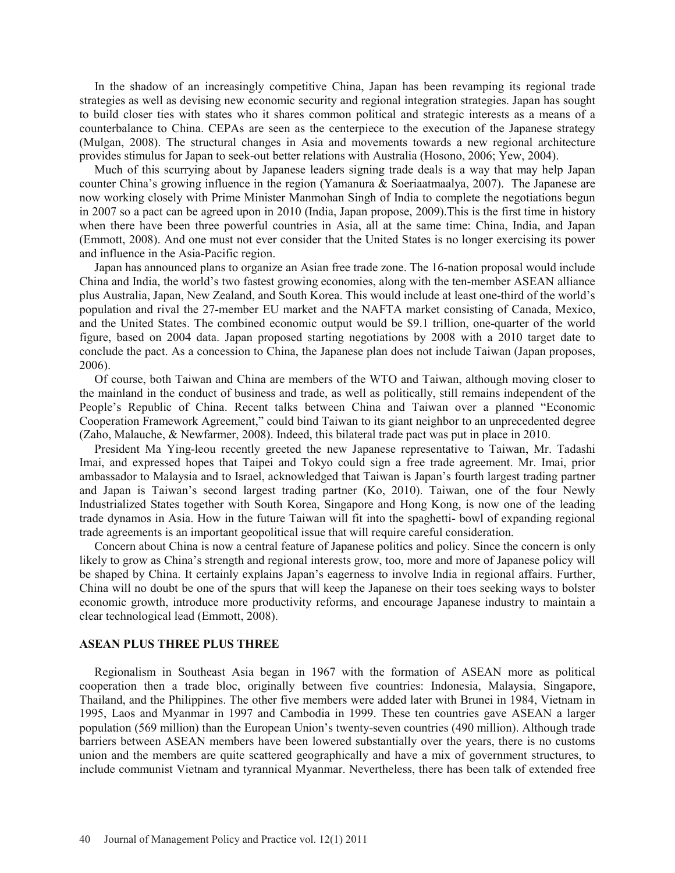In the shadow of an increasingly competitive China, Japan has been revamping its regional trade strategies as well as devising new economic security and regional integration strategies. Japan has sought to build closer ties with states who it shares common political and strategic interests as a means of a counterbalance to China. CEPAs are seen as the centerpiece to the execution of the Japanese strategy (Mulgan, 2008). The structural changes in Asia and movements towards a new regional architecture provides stimulus for Japan to seek-out better relations with Australia (Hosono, 2006; Yew, 2004).

Much of this scurrying about by Japanese leaders signing trade deals is a way that may help Japan counter China's growing influence in the region (Yamanura & Soeriaatmaalya, 2007). The Japanese are now working closely with Prime Minister Manmohan Singh of India to complete the negotiations begun in 2007 so a pact can be agreed upon in 2010 (India, Japan propose, 2009).This is the first time in history when there have been three powerful countries in Asia, all at the same time: China, India, and Japan (Emmott, 2008). And one must not ever consider that the United States is no longer exercising its power and influence in the Asia-Pacific region.

Japan has announced plans to organize an Asian free trade zone. The 16-nation proposal would include China and India, the world's two fastest growing economies, along with the ten-member ASEAN alliance plus Australia, Japan, New Zealand, and South Korea. This would include at least one-third of the world's population and rival the 27-member EU market and the NAFTA market consisting of Canada, Mexico, and the United States. The combined economic output would be \$9.1 trillion, one-quarter of the world figure, based on 2004 data. Japan proposed starting negotiations by 2008 with a 2010 target date to conclude the pact. As a concession to China, the Japanese plan does not include Taiwan (Japan proposes, 2006).

Of course, both Taiwan and China are members of the WTO and Taiwan, although moving closer to the mainland in the conduct of business and trade, as well as politically, still remains independent of the People's Republic of China. Recent talks between China and Taiwan over a planned "Economic Cooperation Framework Agreement," could bind Taiwan to its giant neighbor to an unprecedented degree (Zaho, Malauche, & Newfarmer, 2008). Indeed, this bilateral trade pact was put in place in 2010.

President Ma Ying-leou recently greeted the new Japanese representative to Taiwan, Mr. Tadashi Imai, and expressed hopes that Taipei and Tokyo could sign a free trade agreement. Mr. Imai, prior ambassador to Malaysia and to Israel, acknowledged that Taiwan is Japan's fourth largest trading partner and Japan is Taiwan's second largest trading partner (Ko, 2010). Taiwan, one of the four Newly Industrialized States together with South Korea, Singapore and Hong Kong, is now one of the leading trade dynamos in Asia. How in the future Taiwan will fit into the spaghetti- bowl of expanding regional trade agreements is an important geopolitical issue that will require careful consideration.

Concern about China is now a central feature of Japanese politics and policy. Since the concern is only likely to grow as China's strength and regional interests grow, too, more and more of Japanese policy will be shaped by China. It certainly explains Japan's eagerness to involve India in regional affairs. Further, China will no doubt be one of the spurs that will keep the Japanese on their toes seeking ways to bolster economic growth, introduce more productivity reforms, and encourage Japanese industry to maintain a clear technological lead (Emmott, 2008).

### **ASEAN PLUS THREE PLUS THREE**

Regionalism in Southeast Asia began in 1967 with the formation of ASEAN more as political cooperation then a trade bloc, originally between five countries: Indonesia, Malaysia, Singapore, Thailand, and the Philippines. The other five members were added later with Brunei in 1984, Vietnam in 1995, Laos and Myanmar in 1997 and Cambodia in 1999. These ten countries gave ASEAN a larger population (569 million) than the European Union's twenty-seven countries (490 million). Although trade barriers between ASEAN members have been lowered substantially over the years, there is no customs union and the members are quite scattered geographically and have a mix of government structures, to include communist Vietnam and tyrannical Myanmar. Nevertheless, there has been talk of extended free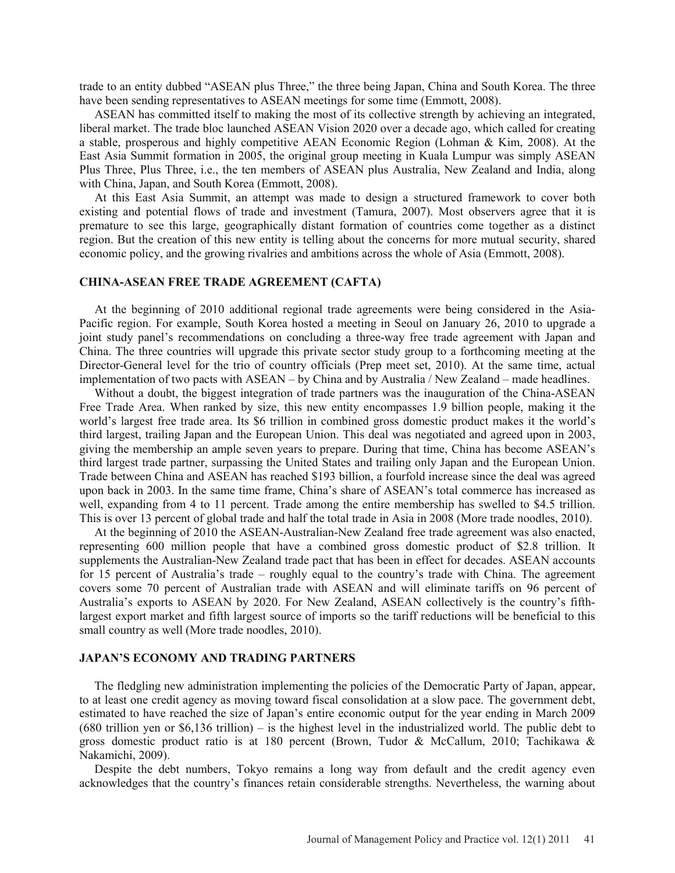trade to an entity dubbed "ASEAN plus Three," the three being Japan, China and South Korea. The three have been sending representatives to ASEAN meetings for some time (Emmott, 2008).

ASEAN has committed itself to making the most of its collective strength by achieving an integrated, liberal market. The trade bloc launched ASEAN Vision 2020 over a decade ago, which called for creating a stable, prosperous and highly competitive AEAN Economic Region (Lohman & Kim, 2008). At the East Asia Summit formation in 2005, the original group meeting in Kuala Lumpur was simply ASEAN Plus Three, Plus Three, i.e., the ten members of ASEAN plus Australia, New Zealand and India, along with China, Japan, and South Korea (Emmott, 2008).

At this East Asia Summit, an attempt was made to design a structured framework to cover both existing and potential flows of trade and investment (Tamura, 2007). Most observers agree that it is premature to see this large, geographically distant formation of countries come together as a distinct region. But the creation of this new entity is telling about the concerns for more mutual security, shared economic policy, and the growing rivalries and ambitions across the whole of Asia (Emmott, 2008).

#### **CHINA-ASEAN FREE TRADE AGREEMENT (CAFTA)**

At the beginning of 2010 additional regional trade agreements were being considered in the Asia-Pacific region. For example, South Korea hosted a meeting in Seoul on January 26, 2010 to upgrade a joint study panel's recommendations on concluding a three-way free trade agreement with Japan and China. The three countries will upgrade this private sector study group to a forthcoming meeting at the Director-General level for the trio of country officials (Prep meet set, 2010). At the same time, actual implementation of two pacts with ASEAN – by China and by Australia / New Zealand – made headlines.

Without a doubt, the biggest integration of trade partners was the inauguration of the China-ASEAN Free Trade Area. When ranked by size, this new entity encompasses 1.9 billion people, making it the world's largest free trade area. Its \$6 trillion in combined gross domestic product makes it the world's third largest, trailing Japan and the European Union. This deal was negotiated and agreed upon in 2003, giving the membership an ample seven years to prepare. During that time, China has become ASEAN's third largest trade partner, surpassing the United States and trailing only Japan and the European Union. Trade between China and ASEAN has reached \$193 billion, a fourfold increase since the deal was agreed upon back in 2003. In the same time frame, China's share of ASEAN's total commerce has increased as well, expanding from 4 to 11 percent. Trade among the entire membership has swelled to \$4.5 trillion. This is over 13 percent of global trade and half the total trade in Asia in 2008 (More trade noodles, 2010).

At the beginning of 2010 the ASEAN-Australian-New Zealand free trade agreement was also enacted, representing 600 million people that have a combined gross domestic product of \$2.8 trillion. It supplements the Australian-New Zealand trade pact that has been in effect for decades. ASEAN accounts for 15 percent of Australia's trade – roughly equal to the country's trade with China. The agreement covers some 70 percent of Australian trade with ASEAN and will eliminate tariffs on 96 percent of Australia's exports to ASEAN by 2020. For New Zealand, ASEAN collectively is the country's fifthlargest export market and fifth largest source of imports so the tariff reductions will be beneficial to this small country as well (More trade noodles, 2010).

#### **JAPAN'S ECONOMY AND TRADING PARTNERS**

The fledgling new administration implementing the policies of the Democratic Party of Japan, appear, to at least one credit agency as moving toward fiscal consolidation at a slow pace. The government debt, estimated to have reached the size of Japan's entire economic output for the year ending in March 2009 (680 trillion yen or \$6,136 trillion) – is the highest level in the industrialized world. The public debt to gross domestic product ratio is at 180 percent (Brown, Tudor & McCallum, 2010; Tachikawa & Nakamichi, 2009).

Despite the debt numbers, Tokyo remains a long way from default and the credit agency even acknowledges that the country's finances retain considerable strengths. Nevertheless, the warning about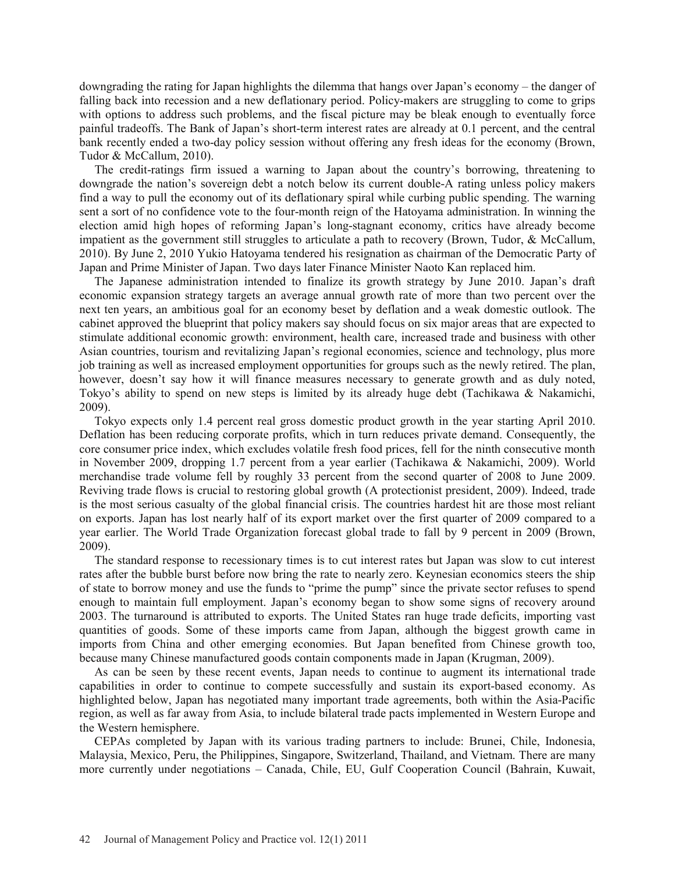downgrading the rating for Japan highlights the dilemma that hangs over Japan's economy – the danger of falling back into recession and a new deflationary period. Policy-makers are struggling to come to grips with options to address such problems, and the fiscal picture may be bleak enough to eventually force painful tradeoffs. The Bank of Japan's short-term interest rates are already at 0.1 percent, and the central bank recently ended a two-day policy session without offering any fresh ideas for the economy (Brown, Tudor & McCallum, 2010).

The credit-ratings firm issued a warning to Japan about the country's borrowing, threatening to downgrade the nation's sovereign debt a notch below its current double-A rating unless policy makers find a way to pull the economy out of its deflationary spiral while curbing public spending. The warning sent a sort of no confidence vote to the four-month reign of the Hatoyama administration. In winning the election amid high hopes of reforming Japan's long-stagnant economy, critics have already become impatient as the government still struggles to articulate a path to recovery (Brown, Tudor, & McCallum, 2010). By June 2, 2010 Yukio Hatoyama tendered his resignation as chairman of the Democratic Party of Japan and Prime Minister of Japan. Two days later Finance Minister Naoto Kan replaced him.

The Japanese administration intended to finalize its growth strategy by June 2010. Japan's draft economic expansion strategy targets an average annual growth rate of more than two percent over the next ten years, an ambitious goal for an economy beset by deflation and a weak domestic outlook. The cabinet approved the blueprint that policy makers say should focus on six major areas that are expected to stimulate additional economic growth: environment, health care, increased trade and business with other Asian countries, tourism and revitalizing Japan's regional economies, science and technology, plus more job training as well as increased employment opportunities for groups such as the newly retired. The plan, however, doesn't say how it will finance measures necessary to generate growth and as duly noted, Tokyo's ability to spend on new steps is limited by its already huge debt (Tachikawa & Nakamichi, 2009).

Tokyo expects only 1.4 percent real gross domestic product growth in the year starting April 2010. Deflation has been reducing corporate profits, which in turn reduces private demand. Consequently, the core consumer price index, which excludes volatile fresh food prices, fell for the ninth consecutive month in November 2009, dropping 1.7 percent from a year earlier (Tachikawa & Nakamichi, 2009). World merchandise trade volume fell by roughly 33 percent from the second quarter of 2008 to June 2009. Reviving trade flows is crucial to restoring global growth (A protectionist president, 2009). Indeed, trade is the most serious casualty of the global financial crisis. The countries hardest hit are those most reliant on exports. Japan has lost nearly half of its export market over the first quarter of 2009 compared to a year earlier. The World Trade Organization forecast global trade to fall by 9 percent in 2009 (Brown, 2009).

The standard response to recessionary times is to cut interest rates but Japan was slow to cut interest rates after the bubble burst before now bring the rate to nearly zero. Keynesian economics steers the ship of state to borrow money and use the funds to "prime the pump" since the private sector refuses to spend enough to maintain full employment. Japan's economy began to show some signs of recovery around 2003. The turnaround is attributed to exports. The United States ran huge trade deficits, importing vast quantities of goods. Some of these imports came from Japan, although the biggest growth came in imports from China and other emerging economies. But Japan benefited from Chinese growth too, because many Chinese manufactured goods contain components made in Japan (Krugman, 2009).

As can be seen by these recent events, Japan needs to continue to augment its international trade capabilities in order to continue to compete successfully and sustain its export-based economy. As highlighted below, Japan has negotiated many important trade agreements, both within the Asia-Pacific region, as well as far away from Asia, to include bilateral trade pacts implemented in Western Europe and the Western hemisphere.

CEPAs completed by Japan with its various trading partners to include: Brunei, Chile, Indonesia, Malaysia, Mexico, Peru, the Philippines, Singapore, Switzerland, Thailand, and Vietnam. There are many more currently under negotiations – Canada, Chile, EU, Gulf Cooperation Council (Bahrain, Kuwait,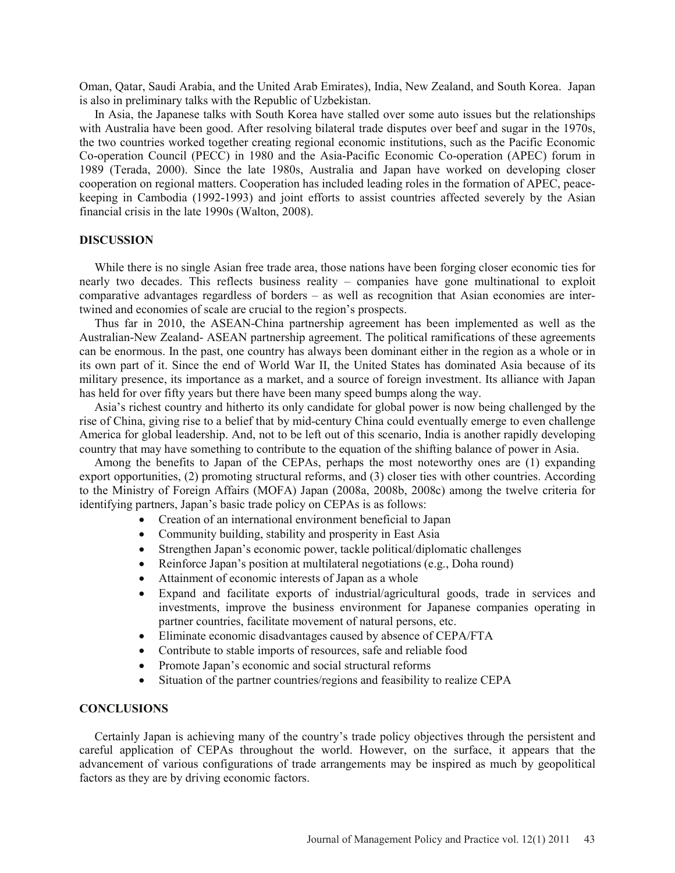Oman, Qatar, Saudi Arabia, and the United Arab Emirates), India, New Zealand, and South Korea. Japan is also in preliminary talks with the Republic of Uzbekistan.

In Asia, the Japanese talks with South Korea have stalled over some auto issues but the relationships with Australia have been good. After resolving bilateral trade disputes over beef and sugar in the 1970s, the two countries worked together creating regional economic institutions, such as the Pacific Economic Co-operation Council (PECC) in 1980 and the Asia-Pacific Economic Co-operation (APEC) forum in 1989 (Terada, 2000). Since the late 1980s, Australia and Japan have worked on developing closer cooperation on regional matters. Cooperation has included leading roles in the formation of APEC, peacekeeping in Cambodia (1992-1993) and joint efforts to assist countries affected severely by the Asian financial crisis in the late 1990s (Walton, 2008).

#### **DISCUSSION**

While there is no single Asian free trade area, those nations have been forging closer economic ties for nearly two decades. This reflects business reality – companies have gone multinational to exploit comparative advantages regardless of borders – as well as recognition that Asian economies are intertwined and economies of scale are crucial to the region's prospects.

Thus far in 2010, the ASEAN-China partnership agreement has been implemented as well as the Australian-New Zealand- ASEAN partnership agreement. The political ramifications of these agreements can be enormous. In the past, one country has always been dominant either in the region as a whole or in its own part of it. Since the end of World War II, the United States has dominated Asia because of its military presence, its importance as a market, and a source of foreign investment. Its alliance with Japan has held for over fifty years but there have been many speed bumps along the way.

Asia's richest country and hitherto its only candidate for global power is now being challenged by the rise of China, giving rise to a belief that by mid-century China could eventually emerge to even challenge America for global leadership. And, not to be left out of this scenario, India is another rapidly developing country that may have something to contribute to the equation of the shifting balance of power in Asia.

Among the benefits to Japan of the CEPAs, perhaps the most noteworthy ones are (1) expanding export opportunities, (2) promoting structural reforms, and (3) closer ties with other countries. According to the Ministry of Foreign Affairs (MOFA) Japan (2008a, 2008b, 2008c) among the twelve criteria for identifying partners, Japan's basic trade policy on CEPAs is as follows:

- Creation of an international environment beneficial to Japan
- Community building, stability and prosperity in East Asia
- Strengthen Japan's economic power, tackle political/diplomatic challenges
- $\bullet$  Reinforce Japan's position at multilateral negotiations (e.g., Doha round)
- Attainment of economic interests of Japan as a whole
- x Expand and facilitate exports of industrial/agricultural goods, trade in services and investments, improve the business environment for Japanese companies operating in partner countries, facilitate movement of natural persons, etc.
- Eliminate economic disadvantages caused by absence of CEPA/FTA
- Contribute to stable imports of resources, safe and reliable food
- Promote Japan's economic and social structural reforms
- Situation of the partner countries/regions and feasibility to realize CEPA

# **CONCLUSIONS**

Certainly Japan is achieving many of the country's trade policy objectives through the persistent and careful application of CEPAs throughout the world. However, on the surface, it appears that the advancement of various configurations of trade arrangements may be inspired as much by geopolitical factors as they are by driving economic factors.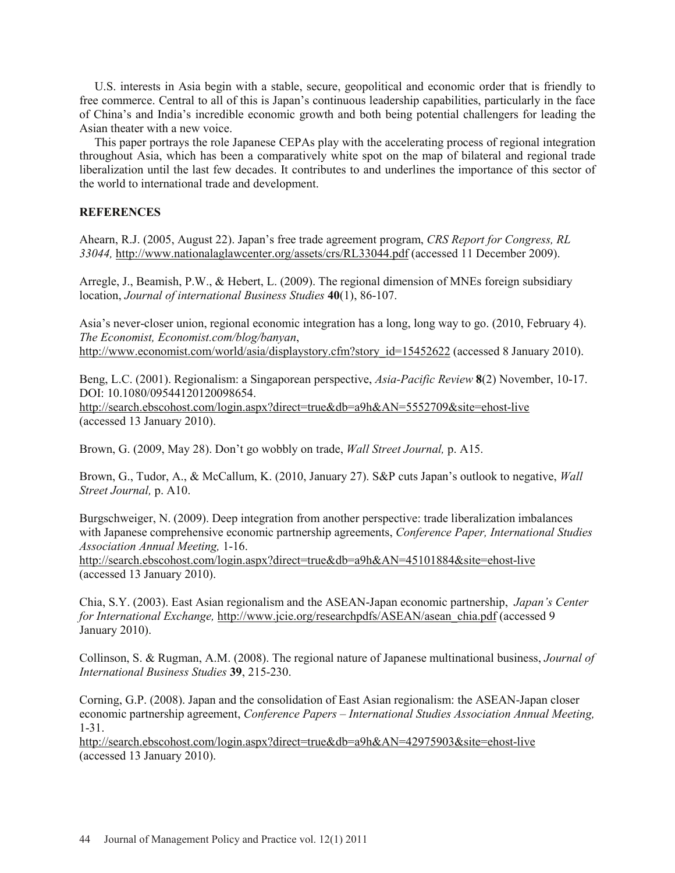U.S. interests in Asia begin with a stable, secure, geopolitical and economic order that is friendly to free commerce. Central to all of this is Japan's continuous leadership capabilities, particularly in the face of China's and India's incredible economic growth and both being potential challengers for leading the Asian theater with a new voice.

This paper portrays the role Japanese CEPAs play with the accelerating process of regional integration throughout Asia, which has been a comparatively white spot on the map of bilateral and regional trade liberalization until the last few decades. It contributes to and underlines the importance of this sector of the world to international trade and development.

# **REFERENCES**

Ahearn, R.J. (2005, August 22). Japan's free trade agreement program, *CRS Report for Congress, RL 33044,* http://www.nationalaglawcenter.org/assets/crs/RL33044.pdf (accessed 11 December 2009).

Arregle, J., Beamish, P.W., & Hebert, L. (2009). The regional dimension of MNEs foreign subsidiary location, *Journal of international Business Studies* **40**(1), 86-107.

Asia's never-closer union, regional economic integration has a long, long way to go. (2010, February 4). *The Economist, Economist.com/blog/banyan*,

http://www.economist.com/world/asia/displaystory.cfm?story\_id=15452622 (accessed 8 January 2010).

Beng, L.C. (2001). Regionalism: a Singaporean perspective, *Asia-Pacific Review* **8**(2) November, 10-17. DOI: 10.1080/09544120120098654.

http://search.ebscohost.com/login.aspx?direct=true&db=a9h&AN=5552709&site=ehost-live (accessed 13 January 2010).

Brown, G. (2009, May 28). Don't go wobbly on trade, *Wall Street Journal,* p. A15.

Brown, G., Tudor, A., & McCallum, K. (2010, January 27). S&P cuts Japan's outlook to negative, *Wall Street Journal,* p. A10.

Burgschweiger, N. (2009). Deep integration from another perspective: trade liberalization imbalances with Japanese comprehensive economic partnership agreements, *Conference Paper, International Studies Association Annual Meeting,* 1-16.

http://search.ebscohost.com/login.aspx?direct=true&db=a9h&AN=45101884&site=ehost-live (accessed 13 January 2010).

Chia, S.Y. (2003). East Asian regionalism and the ASEAN-Japan economic partnership, *Japan's Center for International Exchange, http://www.jcie.org/researchpdfs/ASEAN/asean chia.pdf (accessed 9)* January 2010).

Collinson, S. & Rugman, A.M. (2008). The regional nature of Japanese multinational business, *Journal of International Business Studies* **39**, 215-230.

Corning, G.P. (2008). Japan and the consolidation of East Asian regionalism: the ASEAN-Japan closer economic partnership agreement, *Conference Papers – International Studies Association Annual Meeting,* 1-31.

http://search.ebscohost.com/login.aspx?direct=true&db=a9h&AN=42975903&site=ehost-live (accessed 13 January 2010).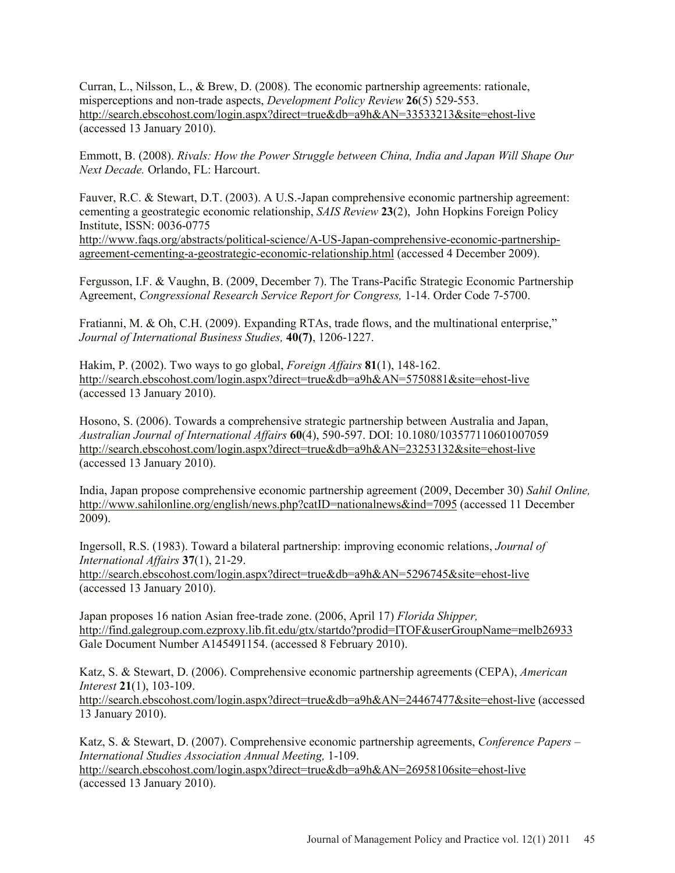Curran, L., Nilsson, L., & Brew, D. (2008). The economic partnership agreements: rationale, misperceptions and non-trade aspects, *Development Policy Review* **26**(5) 529-553. http://search.ebscohost.com/login.aspx?direct=true&db=a9h&AN=33533213&site=ehost-live (accessed 13 January 2010).

Emmott, B. (2008). *Rivals: How the Power Struggle between China, India and Japan Will Shape Our Next Decade.* Orlando, FL: Harcourt.

Fauver, R.C. & Stewart, D.T. (2003). A U.S.-Japan comprehensive economic partnership agreement: cementing a geostrategic economic relationship, *SAIS Review* **23**(2), John Hopkins Foreign Policy Institute, ISSN: 0036-0775 http://www.faqs.org/abstracts/political-science/A-US-Japan-comprehensive-economic-partnership-

agreement-cementing-a-geostrategic-economic-relationship.html (accessed 4 December 2009).

Fergusson, I.F. & Vaughn, B. (2009, December 7). The Trans-Pacific Strategic Economic Partnership Agreement, *Congressional Research Service Report for Congress,* 1-14. Order Code 7-5700.

Fratianni, M. & Oh, C.H. (2009). Expanding RTAs, trade flows, and the multinational enterprise," *Journal of International Business Studies,* **40(7)**, 1206-1227.

Hakim, P. (2002). Two ways to go global, *Foreign Affairs* **81**(1), 148-162. http://search.ebscohost.com/login.aspx?direct=true&db=a9h&AN=5750881&site=ehost-live (accessed 13 January 2010).

Hosono, S. (2006). Towards a comprehensive strategic partnership between Australia and Japan, *Australian Journal of International Affairs* **60**(4), 590-597. DOI: 10.1080/103577110601007059 http://search.ebscohost.com/login.aspx?direct=true&db=a9h&AN=23253132&site=ehost-live (accessed 13 January 2010).

India, Japan propose comprehensive economic partnership agreement (2009, December 30) *Sahil Online,* http://www.sahilonline.org/english/news.php?catID=nationalnews&ind=7095 (accessed 11 December 2009).

Ingersoll, R.S. (1983). Toward a bilateral partnership: improving economic relations, *Journal of International Affairs* **37**(1), 21-29.

http://search.ebscohost.com/login.aspx?direct=true&db=a9h&AN=5296745&site=ehost-live (accessed 13 January 2010).

Japan proposes 16 nation Asian free-trade zone. (2006, April 17) *Florida Shipper,* http://find.galegroup.com.ezproxy.lib.fit.edu/gtx/startdo?prodid=ITOF&userGroupName=melb26933 Gale Document Number A145491154. (accessed 8 February 2010).

Katz, S. & Stewart, D. (2006). Comprehensive economic partnership agreements (CEPA), *American Interest* **21**(1), 103-109. http://search.ebscohost.com/login.aspx?direct=true&db=a9h&AN=24467477&site=ehost-live (accessed 13 January 2010).

Katz, S. & Stewart, D. (2007). Comprehensive economic partnership agreements, *Conference Papers – International Studies Association Annual Meeting,* 1-109. http://search.ebscohost.com/login.aspx?direct=true&db=a9h&AN=26958106site=ehost-live (accessed 13 January 2010).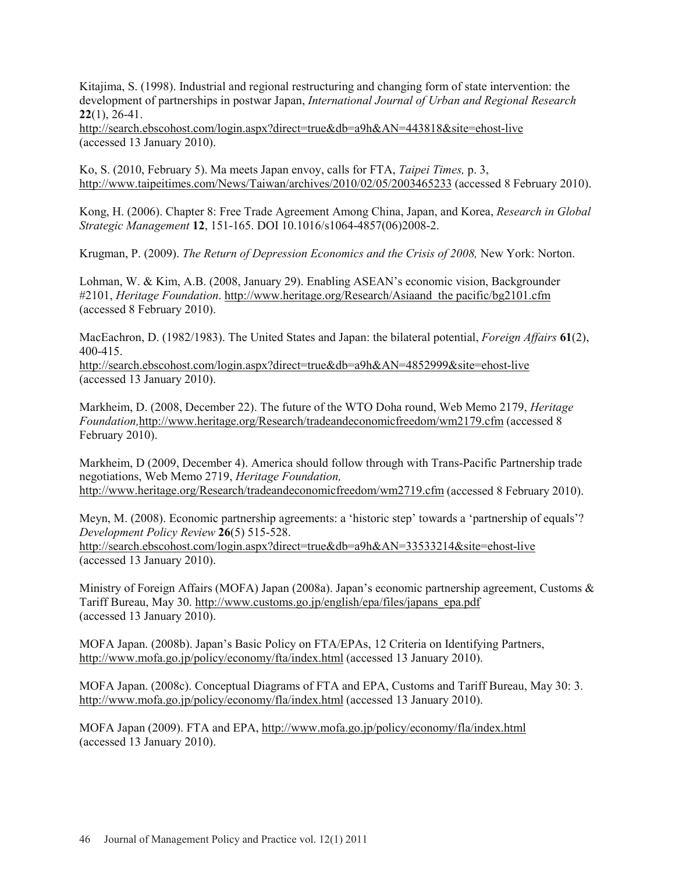Kitajima, S. (1998). Industrial and regional restructuring and changing form of state intervention: the development of partnerships in postwar Japan, *International Journal of Urban and Regional Research* **22**(1), 26-41.

http://search.ebscohost.com/login.aspx?direct=true&db=a9h&AN=443818&site=ehost-live (accessed 13 January 2010).

Ko, S. (2010, February 5). Ma meets Japan envoy, calls for FTA, *Taipei Times,* p. 3, http://www.taipeitimes.com/News/Taiwan/archives/2010/02/05/2003465233 (accessed 8 February 2010).

Kong, H. (2006). Chapter 8: Free Trade Agreement Among China, Japan, and Korea, *Research in Global Strategic Management* **12**, 151-165. DOI 10.1016/s1064-4857(06)2008-2.

Krugman, P. (2009). *The Return of Depression Economics and the Crisis of 2008,* New York: Norton.

Lohman, W. & Kim, A.B. (2008, January 29). Enabling ASEAN's economic vision, Backgrounder #2101, *Heritage Foundation*. http://www.heritage.org/Research/Asiaand the pacific/bg2101.cfm (accessed 8 February 2010).

MacEachron, D. (1982/1983). The United States and Japan: the bilateral potential, *Foreign Affairs* **61**(2), 400-415.

http://search.ebscohost.com/login.aspx?direct=true&db=a9h&AN=4852999&site=ehost-live (accessed 13 January 2010).

Markheim, D. (2008, December 22). The future of the WTO Doha round, Web Memo 2179, *Heritage Foundation,*http://www.heritage.org/Research/tradeandeconomicfreedom/wm2179.cfm (accessed 8 February 2010).

Markheim, D (2009, December 4). America should follow through with Trans-Pacific Partnership trade negotiations, Web Memo 2719, *Heritage Foundation,* http://www.heritage.org/Research/tradeandeconomicfreedom/wm2719.cfm (accessed 8 February 2010).

Meyn, M. (2008). Economic partnership agreements: a 'historic step' towards a 'partnership of equals'? *Development Policy Review* **26**(5) 515-528.

http://search.ebscohost.com/login.aspx?direct=true&db=a9h&AN=33533214&site=ehost-live (accessed 13 January 2010).

Ministry of Foreign Affairs (MOFA) Japan (2008a). Japan's economic partnership agreement, Customs & Tariff Bureau, May 30. http://www.customs.go.jp/english/epa/files/japans\_epa.pdf (accessed 13 January 2010).

MOFA Japan. (2008b). Japan's Basic Policy on FTA/EPAs, 12 Criteria on Identifying Partners, http://www.mofa.go.jp/policy/economy/fta/index.html (accessed 13 January 2010).

MOFA Japan. (2008c). Conceptual Diagrams of FTA and EPA, Customs and Tariff Bureau, May 30: 3. http://www.mofa.go.jp/policy/economy/fla/index.html (accessed 13 January 2010).

MOFA Japan (2009). FTA and EPA, http://www.mofa.go.jp/policy/economy/fla/index.html (accessed 13 January 2010).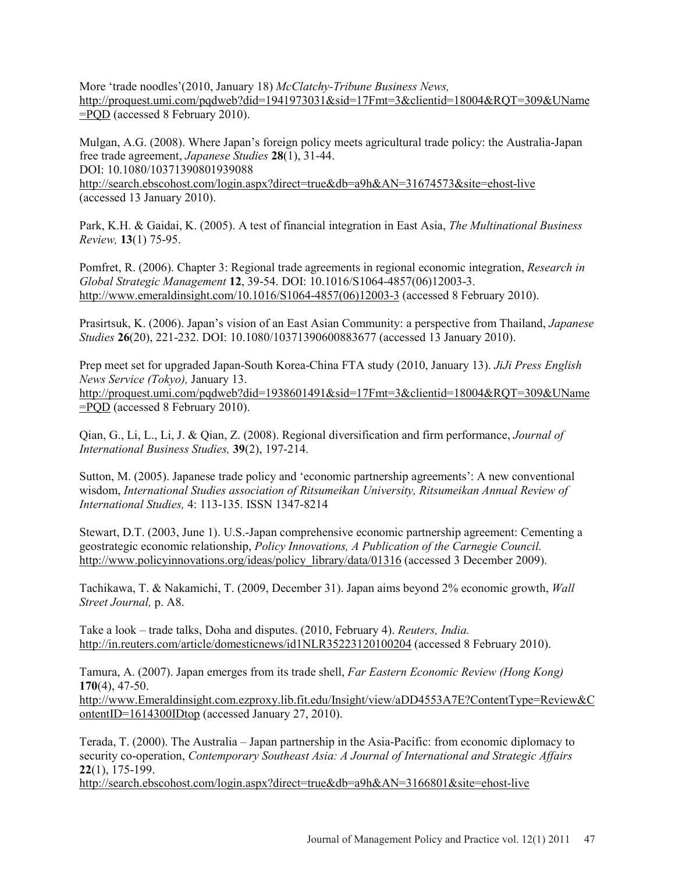More 'trade noodles'(2010, January 18) *McClatchy-Tribune Business News,* http://proquest.umi.com/pqdweb?did=1941973031&sid=17Fmt=3&clientid=18004&RQT=309&UName =PQD (accessed 8 February 2010).

Mulgan, A.G. (2008). Where Japan's foreign policy meets agricultural trade policy: the Australia-Japan free trade agreement, *Japanese Studies* **28**(1), 31-44. DOI: 10.1080/10371390801939088

http://search.ebscohost.com/login.aspx?direct=true&db=a9h&AN=31674573&site=ehost-live (accessed 13 January 2010).

Park, K.H. & Gaidai, K. (2005). A test of financial integration in East Asia, *The Multinational Business Review,* **13**(1) 75-95.

Pomfret, R. (2006). Chapter 3: Regional trade agreements in regional economic integration, *Research in Global Strategic Management* **12**, 39-54. DOI: 10.1016/S1064-4857(06)12003-3. http://www.emeraldinsight.com/10.1016/S1064-4857(06)12003-3 (accessed 8 February 2010).

Prasirtsuk, K. (2006). Japan's vision of an East Asian Community: a perspective from Thailand, *Japanese Studies* **26**(20), 221-232. DOI: 10.1080/10371390600883677 (accessed 13 January 2010).

Prep meet set for upgraded Japan-South Korea-China FTA study (2010, January 13). *JiJi Press English News Service (Tokyo),* January 13. http://proquest.umi.com/pqdweb?did=1938601491&sid=17Fmt=3&clientid=18004&RQT=309&UName =PQD (accessed 8 February 2010).

Qian, G., Li, L., Li, J. & Qian, Z. (2008). Regional diversification and firm performance, *Journal of International Business Studies,* **39**(2), 197-214.

Sutton, M. (2005). Japanese trade policy and 'economic partnership agreements': A new conventional wisdom, *International Studies association of Ritsumeikan University, Ritsumeikan Annual Review of International Studies,* 4: 113-135. ISSN 1347-8214

Stewart, D.T. (2003, June 1). U.S.-Japan comprehensive economic partnership agreement: Cementing a geostrategic economic relationship, *Policy Innovations, A Publication of the Carnegie Council.* http://www.policyinnovations.org/ideas/policy\_library/data/01316 (accessed 3 December 2009).

Tachikawa, T. & Nakamichi, T. (2009, December 31). Japan aims beyond 2% economic growth, *Wall Street Journal,* p. A8.

Take a look – trade talks, Doha and disputes. (2010, February 4). *Reuters, India.* http://in.reuters.com/article/domesticnews/id1NLR35223120100204 (accessed 8 February 2010).

Tamura, A. (2007). Japan emerges from its trade shell, *Far Eastern Economic Review (Hong Kong)* **170**(4), 47-50. http://www.Emeraldinsight.com.ezproxy.lib.fit.edu/Insight/view/aDD4553A7E?ContentType=Review&C ontentID=1614300IDtop (accessed January 27, 2010).

Terada, T. (2000). The Australia – Japan partnership in the Asia-Pacific: from economic diplomacy to security co-operation, *Contemporary Southeast Asia: A Journal of International and Strategic Affairs* **22**(1), 175-199.

http://search.ebscohost.com/login.aspx?direct=true&db=a9h&AN=3166801&site=ehost-live